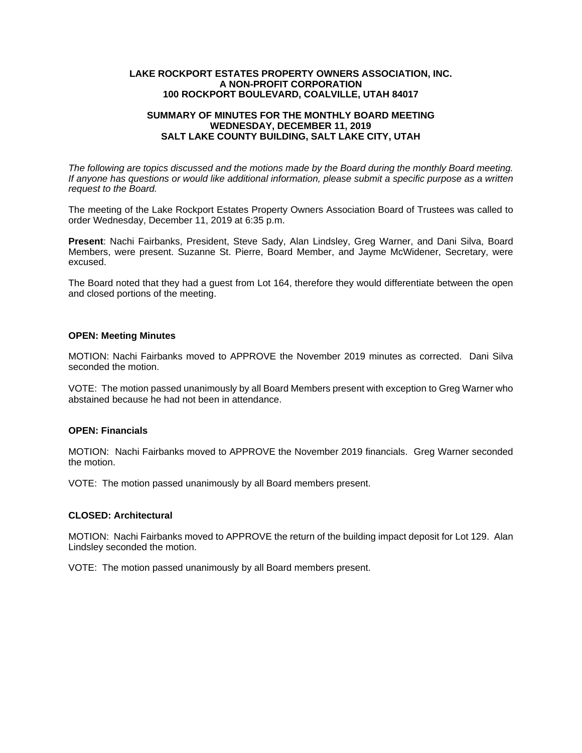### **LAKE ROCKPORT ESTATES PROPERTY OWNERS ASSOCIATION, INC. A NON-PROFIT CORPORATION 100 ROCKPORT BOULEVARD, COALVILLE, UTAH 84017**

## **SUMMARY OF MINUTES FOR THE MONTHLY BOARD MEETING WEDNESDAY, DECEMBER 11, 2019 SALT LAKE COUNTY BUILDING, SALT LAKE CITY, UTAH**

*The following are topics discussed and the motions made by the Board during the monthly Board meeting. If anyone has questions or would like additional information, please submit a specific purpose as a written request to the Board.* 

The meeting of the Lake Rockport Estates Property Owners Association Board of Trustees was called to order Wednesday, December 11, 2019 at 6:35 p.m.

**Present**: Nachi Fairbanks, President, Steve Sady, Alan Lindsley, Greg Warner, and Dani Silva, Board Members, were present. Suzanne St. Pierre, Board Member, and Jayme McWidener, Secretary, were excused.

The Board noted that they had a guest from Lot 164, therefore they would differentiate between the open and closed portions of the meeting.

### **OPEN: Meeting Minutes**

MOTION: Nachi Fairbanks moved to APPROVE the November 2019 minutes as corrected. Dani Silva seconded the motion.

VOTE: The motion passed unanimously by all Board Members present with exception to Greg Warner who abstained because he had not been in attendance.

# **OPEN: Financials**

MOTION: Nachi Fairbanks moved to APPROVE the November 2019 financials. Greg Warner seconded the motion.

VOTE: The motion passed unanimously by all Board members present.

#### **CLOSED: Architectural**

MOTION: Nachi Fairbanks moved to APPROVE the return of the building impact deposit for Lot 129. Alan Lindsley seconded the motion.

VOTE: The motion passed unanimously by all Board members present.